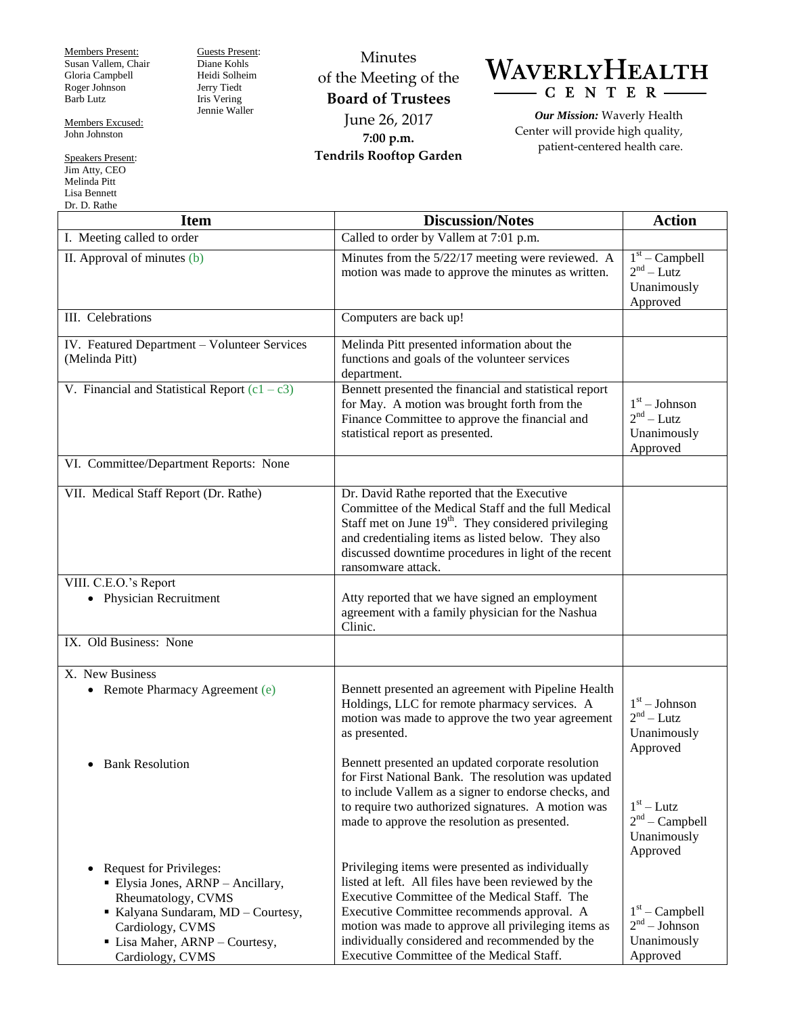Members Present: Susan Vallem, Chair Gloria Campbell Roger Johnson Barb Lutz

Guests Present: Diane Kohls Heidi Solheim Jerry Tiedt Iris Vering Jennie Waller

Minutes of the Meeting of the **Board of Trustees** June 26, 2017 **7:00 p.m. Tendrils Rooftop Garden**



*Our Mission:* Waverly Health Center will provide high quality, patient-centered health care.

| <b>Item</b>                                                                                                                                                                                                          | <b>Discussion/Notes</b>                                                                                                                                                                                                                                                                                                                                      | <b>Action</b>                                                  |
|----------------------------------------------------------------------------------------------------------------------------------------------------------------------------------------------------------------------|--------------------------------------------------------------------------------------------------------------------------------------------------------------------------------------------------------------------------------------------------------------------------------------------------------------------------------------------------------------|----------------------------------------------------------------|
| I. Meeting called to order                                                                                                                                                                                           | Called to order by Vallem at 7:01 p.m.                                                                                                                                                                                                                                                                                                                       |                                                                |
| II. Approval of minutes (b)                                                                                                                                                                                          | Minutes from the 5/22/17 meeting were reviewed. A<br>motion was made to approve the minutes as written.                                                                                                                                                                                                                                                      | $1st$ – Campbell<br>$2nd - Lutz$<br>Unanimously<br>Approved    |
| III. Celebrations                                                                                                                                                                                                    | Computers are back up!                                                                                                                                                                                                                                                                                                                                       |                                                                |
| IV. Featured Department - Volunteer Services<br>(Melinda Pitt)                                                                                                                                                       | Melinda Pitt presented information about the<br>functions and goals of the volunteer services<br>department.                                                                                                                                                                                                                                                 |                                                                |
| V. Financial and Statistical Report $(c1 - c3)$                                                                                                                                                                      | Bennett presented the financial and statistical report<br>for May. A motion was brought forth from the<br>Finance Committee to approve the financial and<br>statistical report as presented.                                                                                                                                                                 | $1st - Johnson$<br>$2nd - Lutz$<br>Unanimously<br>Approved     |
| VI. Committee/Department Reports: None                                                                                                                                                                               |                                                                                                                                                                                                                                                                                                                                                              |                                                                |
| VII. Medical Staff Report (Dr. Rathe)                                                                                                                                                                                | Dr. David Rathe reported that the Executive<br>Committee of the Medical Staff and the full Medical<br>Staff met on June $19th$ . They considered privileging<br>and credentialing items as listed below. They also<br>discussed downtime procedures in light of the recent<br>ransomware attack.                                                             |                                                                |
| VIII. C.E.O.'s Report<br><b>Physician Recruitment</b><br>$\bullet$                                                                                                                                                   | Atty reported that we have signed an employment<br>agreement with a family physician for the Nashua<br>Clinic.                                                                                                                                                                                                                                               |                                                                |
| IX. Old Business: None                                                                                                                                                                                               |                                                                                                                                                                                                                                                                                                                                                              |                                                                |
| X. New Business                                                                                                                                                                                                      |                                                                                                                                                                                                                                                                                                                                                              |                                                                |
| • Remote Pharmacy Agreement (e)<br><b>Bank Resolution</b><br>$\bullet$                                                                                                                                               | Bennett presented an agreement with Pipeline Health<br>Holdings, LLC for remote pharmacy services. A<br>motion was made to approve the two year agreement<br>as presented.<br>Bennett presented an updated corporate resolution<br>for First National Bank. The resolution was updated<br>to include Vallem as a signer to endorse checks, and               | $1st - Johnson$<br>$2nd - Lutz$<br>Unanimously<br>Approved     |
|                                                                                                                                                                                                                      | to require two authorized signatures. A motion was<br>made to approve the resolution as presented.                                                                                                                                                                                                                                                           | $1st - Lutz$<br>$2nd$ – Campbell<br>Unanimously<br>Approved    |
| <b>Request for Privileges:</b><br>$\bullet$<br>• Elysia Jones, ARNP - Ancillary,<br>Rheumatology, CVMS<br>Kalyana Sundaram, MD - Courtesy,<br>Cardiology, CVMS<br>• Lisa Maher, ARNP - Courtesy,<br>Cardiology, CVMS | Privileging items were presented as individually<br>listed at left. All files have been reviewed by the<br>Executive Committee of the Medical Staff. The<br>Executive Committee recommends approval. A<br>motion was made to approve all privileging items as<br>individually considered and recommended by the<br>Executive Committee of the Medical Staff. | $1st$ – Campbell<br>$2nd - Johnson$<br>Unanimously<br>Approved |

Members Excused: John Johnston

Speakers Present: Jim Atty, CEO Melinda Pitt Lisa Bennett Dr. D. Rathe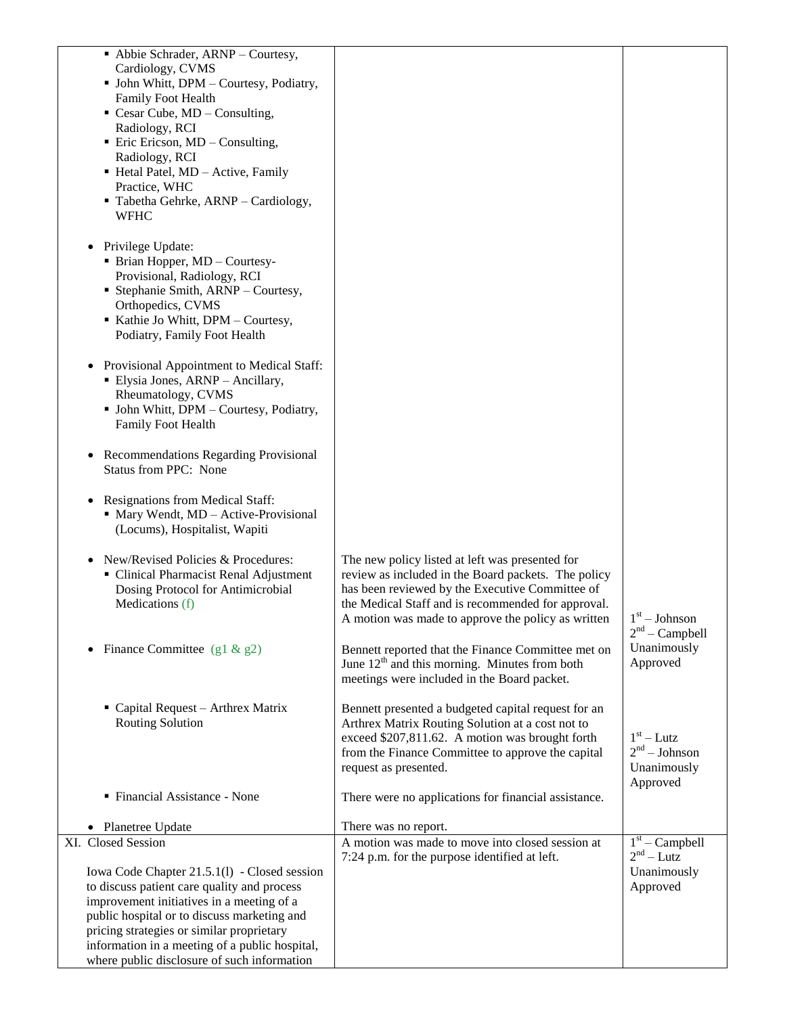| • Abbie Schrader, ARNP - Courtesy,<br>Cardiology, CVMS<br>• John Whitt, DPM - Courtesy, Podiatry,<br>Family Foot Health<br>$\blacksquare$ Cesar Cube, MD – Consulting,<br>Radiology, RCI<br>$\blacksquare$ Eric Ericson, MD – Consulting,<br>Radiology, RCI<br>• Hetal Patel, MD - Active, Family<br>Practice, WHC<br>Tabetha Gehrke, ARNP - Cardiology,<br><b>WFHC</b> |                                                                                                                                                                                                                                                                       |                                                            |
|-------------------------------------------------------------------------------------------------------------------------------------------------------------------------------------------------------------------------------------------------------------------------------------------------------------------------------------------------------------------------|-----------------------------------------------------------------------------------------------------------------------------------------------------------------------------------------------------------------------------------------------------------------------|------------------------------------------------------------|
| • Privilege Update:<br>• Brian Hopper, MD - Courtesy-<br>Provisional, Radiology, RCI<br>• Stephanie Smith, ARNP - Courtesy,<br>Orthopedics, CVMS<br>Kathie Jo Whitt, DPM - Courtesy,<br>Podiatry, Family Foot Health                                                                                                                                                    |                                                                                                                                                                                                                                                                       |                                                            |
| • Provisional Appointment to Medical Staff:<br>• Elysia Jones, ARNP - Ancillary,<br>Rheumatology, CVMS<br>• John Whitt, DPM - Courtesy, Podiatry,<br>Family Foot Health                                                                                                                                                                                                 |                                                                                                                                                                                                                                                                       |                                                            |
| • Recommendations Regarding Provisional<br><b>Status from PPC: None</b>                                                                                                                                                                                                                                                                                                 |                                                                                                                                                                                                                                                                       |                                                            |
| • Resignations from Medical Staff:<br>• Mary Wendt, MD - Active-Provisional<br>(Locums), Hospitalist, Wapiti                                                                                                                                                                                                                                                            |                                                                                                                                                                                                                                                                       |                                                            |
| New/Revised Policies & Procedures:<br>• Clinical Pharmacist Renal Adjustment<br>Dosing Protocol for Antimicrobial<br>Medications (f)                                                                                                                                                                                                                                    | The new policy listed at left was presented for<br>review as included in the Board packets. The policy<br>has been reviewed by the Executive Committee of<br>the Medical Staff and is recommended for approval.<br>A motion was made to approve the policy as written | $1^\mathrm{st}$ – Johnson<br>$2nd$ – Campbell              |
| Finance Committee (g1 & g2)                                                                                                                                                                                                                                                                                                                                             | Bennett reported that the Finance Committee met on<br>June $12th$ and this morning. Minutes from both<br>meetings were included in the Board packet.                                                                                                                  | Unanimously<br>Approved                                    |
| • Capital Request - Arthrex Matrix<br><b>Routing Solution</b>                                                                                                                                                                                                                                                                                                           | Bennett presented a budgeted capital request for an<br>Arthrex Matrix Routing Solution at a cost not to<br>exceed \$207,811.62. A motion was brought forth<br>from the Finance Committee to approve the capital<br>request as presented.                              | $1st - Lutz$<br>$2nd - Johnson$<br>Unanimously<br>Approved |
| • Financial Assistance - None                                                                                                                                                                                                                                                                                                                                           | There were no applications for financial assistance.                                                                                                                                                                                                                  |                                                            |
| • Planetree Update                                                                                                                                                                                                                                                                                                                                                      | There was no report.                                                                                                                                                                                                                                                  |                                                            |
| XI. Closed Session                                                                                                                                                                                                                                                                                                                                                      | A motion was made to move into closed session at<br>7:24 p.m. for the purpose identified at left.                                                                                                                                                                     | $1st$ – Campbell<br>$2nd - Lutz$                           |
| Iowa Code Chapter 21.5.1(1) - Closed session<br>to discuss patient care quality and process<br>improvement initiatives in a meeting of a<br>public hospital or to discuss marketing and<br>pricing strategies or similar proprietary<br>information in a meeting of a public hospital,<br>where public disclosure of such information                                   |                                                                                                                                                                                                                                                                       | Unanimously<br>Approved                                    |